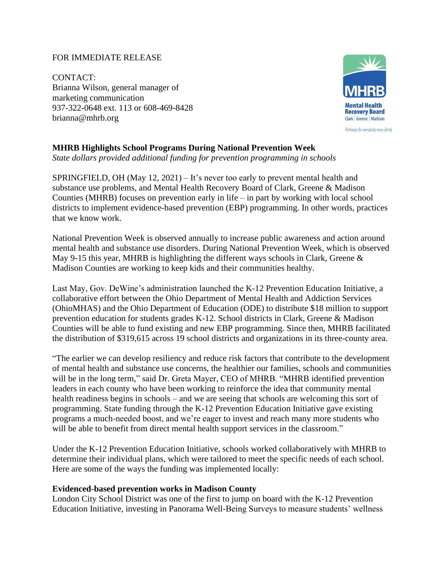## FOR IMMEDIATE RELEASE

CONTACT: Brianna Wilson, general manager of marketing communication 937-322-0648 ext. 113 or 608-469-8428 brianna@mhrb.org



# **MHRB Highlights School Programs During National Prevention Week**

*State dollars provided additional funding for prevention programming in schools*

SPRINGFIELD, OH (May 12, 2021) – It's never too early to prevent mental health and substance use problems, and Mental Health Recovery Board of Clark, Greene & Madison Counties (MHRB) focuses on prevention early in life – in part by working with local school districts to implement evidence-based prevention (EBP) programming. In other words, practices that we know work.

National Prevention Week is observed annually to increase public awareness and action around mental health and substance use disorders. During National Prevention Week, which is observed May 9-15 this year, MHRB is highlighting the different ways schools in Clark, Greene  $\&$ Madison Counties are working to keep kids and their communities healthy.

Last May, Gov. DeWine's administration launched the K-12 Prevention Education Initiative, a collaborative effort between the Ohio Department of Mental Health and Addiction Services (OhioMHAS) and the Ohio Department of Education (ODE) to distribute \$18 million to support prevention education for students grades K-12. School districts in Clark, Greene & Madison Counties will be able to fund existing and new EBP programming. Since then, MHRB facilitated the distribution of \$319,615 across 19 school districts and organizations in its three-county area.

"The earlier we can develop resiliency and reduce risk factors that contribute to the development of mental health and substance use concerns, the healthier our families, schools and communities will be in the long term," said Dr. Greta Mayer, CEO of MHRB. "MHRB identified prevention leaders in each county who have been working to reinforce the idea that community mental health readiness begins in schools – and we are seeing that schools are welcoming this sort of programming. State funding through the K-12 Prevention Education Initiative gave existing programs a much-needed boost, and we're eager to invest and reach many more students who will be able to benefit from direct mental health support services in the classroom."

Under the K-12 Prevention Education Initiative, schools worked collaboratively with MHRB to determine their individual plans, which were tailored to meet the specific needs of each school. Here are some of the ways the funding was implemented locally:

### **Evidenced-based prevention works in Madison County**

London City School District was one of the first to jump on board with the K-12 Prevention Education Initiative, investing in Panorama Well-Being Surveys to measure students' wellness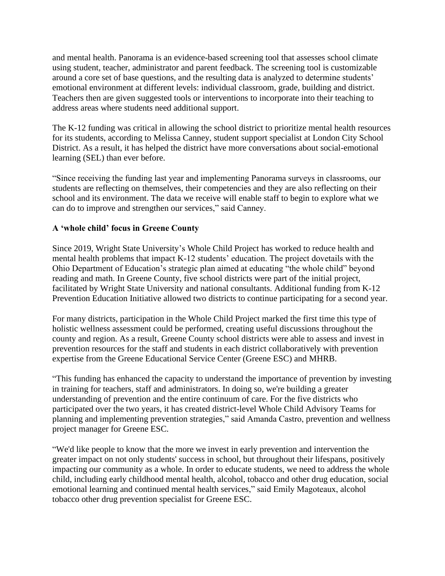and mental health. Panorama is an evidence-based screening tool that assesses school climate using student, teacher, administrator and parent feedback. The screening tool is customizable around a core set of base questions, and the resulting data is analyzed to determine students' emotional environment at different levels: individual classroom, grade, building and district. Teachers then are given suggested tools or interventions to incorporate into their teaching to address areas where students need additional support.

The K-12 funding was critical in allowing the school district to prioritize mental health resources for its students, according to Melissa Canney, student support specialist at London City School District. As a result, it has helped the district have more conversations about social-emotional learning (SEL) than ever before.

"Since receiving the funding last year and implementing Panorama surveys in classrooms, our students are reflecting on themselves, their competencies and they are also reflecting on their school and its environment. The data we receive will enable staff to begin to explore what we can do to improve and strengthen our services," said Canney.

## **A 'whole child' focus in Greene County**

Since 2019, Wright State University's Whole Child Project has worked to reduce health and mental health problems that impact K-12 students' education. The project dovetails with the Ohio Department of Education's strategic plan aimed at educating "the whole child" beyond reading and math. In Greene County, five school districts were part of the initial project, facilitated by Wright State University and national consultants. Additional funding from K-12 Prevention Education Initiative allowed two districts to continue participating for a second year.

For many districts, participation in the Whole Child Project marked the first time this type of holistic wellness assessment could be performed, creating useful discussions throughout the county and region. As a result, Greene County school districts were able to assess and invest in prevention resources for the staff and students in each district collaboratively with prevention expertise from the Greene Educational Service Center (Greene ESC) and MHRB.

"This funding has enhanced the capacity to understand the importance of prevention by investing in training for teachers, staff and administrators. In doing so, we're building a greater understanding of prevention and the entire continuum of care. For the five districts who participated over the two years, it has created district-level Whole Child Advisory Teams for planning and implementing prevention strategies," said Amanda Castro, prevention and wellness project manager for Greene ESC.

"We'd like people to know that the more we invest in early prevention and intervention the greater impact on not only students' success in school, but throughout their lifespans, positively impacting our community as a whole. In order to educate students, we need to address the whole child, including early childhood mental health, alcohol, tobacco and other drug education, social emotional learning and continued mental health services," said Emily Magoteaux, alcohol tobacco other drug prevention specialist for Greene ESC.